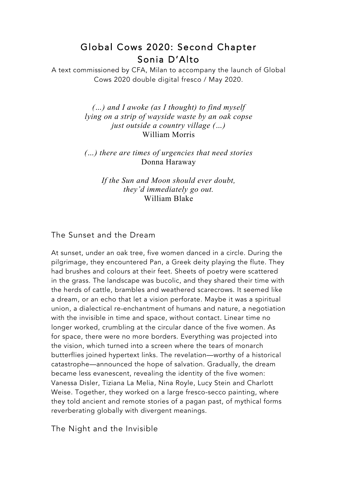# Global Cows 2020: Second Chapter Sonia D'Alto

A text commissioned by CFA, Milan to accompany the launch of Global Cows 2020 double digital fresco / May 2020.

> *(…) and I awoke (as I thought) to find myself lying on a strip of wayside waste by an oak copse just outside a country village (…)* William Morris

> *(…) there are times of urgencies that need stories* Donna Haraway

> > *If the Sun and Moon should ever doubt, they'd immediately go out.* William Blake

### The Sunset and the Dream

At sunset, under an oak tree, five women danced in a circle. During the pilgrimage, they encountered Pan, a Greek deity playing the flute. They had brushes and colours at their feet. Sheets of poetry were scattered in the grass. The landscape was bucolic, and they shared their time with the herds of cattle, brambles and weathered scarecrows. It seemed like a dream, or an echo that let a vision perforate. Maybe it was a spiritual union, a dialectical re-enchantment of humans and nature, a negotiation with the invisible in time and space, without contact. Linear time no longer worked, crumbling at the circular dance of the five women. As for space, there were no more borders. Everything was projected into the vision, which turned into a screen where the tears of monarch butterflies joined hypertext links. The revelation—worthy of a historical catastrophe—announced the hope of salvation. Gradually, the dream became less evanescent, revealing the identity of the five women: Vanessa Disler, Tiziana La Melia, Nina Royle, Lucy Stein and Charlott Weise. Together, they worked on a large fresco-secco painting, where they told ancient and remote stories of a pagan past, of mythical forms reverberating globally with divergent meanings.

The Night and the Invisible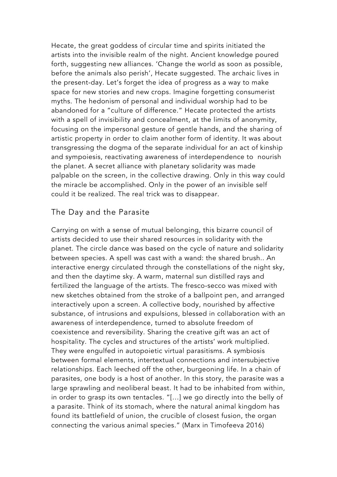Hecate, the great goddess of circular time and spirits initiated the artists into the invisible realm of the night. Ancient knowledge poured forth, suggesting new alliances. 'Change the world as soon as possible, before the animals also perish', Hecate suggested. The archaic lives in the present-day. Let's forget the idea of progress as a way to make space for new stories and new crops. Imagine forgetting consumerist myths. The hedonism of personal and individual worship had to be abandoned for a "culture of difference." Hecate protected the artists with a spell of invisibility and concealment, at the limits of anonymity, focusing on the impersonal gesture of gentle hands, and the sharing of artistic property in order to claim another form of identity. It was about transgressing the dogma of the separate individual for an act of kinship and sympoiesis, reactivating awareness of interdependence to nourish the planet. A secret alliance with planetary solidarity was made palpable on the screen, in the collective drawing. Only in this way could the miracle be accomplished. Only in the power of an invisible self could it be realized. The real trick was to disappear.

### The Day and the Parasite

Carrying on with a sense of mutual belonging, this bizarre council of artists decided to use their shared resources in solidarity with the planet. The circle dance was based on the cycle of nature and solidarity between species. A spell was cast with a wand: the shared brush.. An interactive energy circulated through the constellations of the night sky, and then the daytime sky. A warm, maternal sun distilled rays and fertilized the language of the artists. The fresco-secco was mixed with new sketches obtained from the stroke of a ballpoint pen, and arranged interactively upon a screen. A collective body, nourished by affective substance, of intrusions and expulsions, blessed in collaboration with an awareness of interdependence, turned to absolute freedom of coexistence and reversibility. Sharing the creative gift was an act of hospitality. The cycles and structures of the artists' work multiplied. They were engulfed in autopoietic virtual parasitisms. A symbiosis between formal elements, intertextual connections and intersubjective relationships. Each leeched off the other, burgeoning life. In a chain of parasites, one body is a host of another. In this story, the parasite was a large sprawling and neoliberal beast. It had to be inhabited from within, in order to grasp its own tentacles. "[…] we go directly into the belly of a parasite. Think of its stomach, where the natural animal kingdom has found its battlefield of union, the crucible of closest fusion, the organ connecting the various animal species." (Marx in Timofeeva 2016)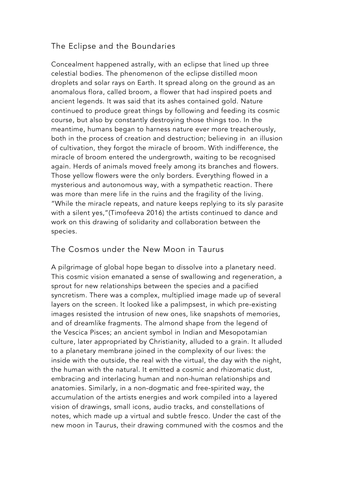## The Eclipse and the Boundaries

Concealment happened astrally, with an eclipse that lined up three celestial bodies. The phenomenon of the eclipse distilled moon droplets and solar rays on Earth. It spread along on the ground as an anomalous flora, called broom, a flower that had inspired poets and ancient legends. It was said that its ashes contained gold. Nature continued to produce great things by following and feeding its cosmic course, but also by constantly destroying those things too. In the meantime, humans began to harness nature ever more treacherously, both in the process of creation and destruction; believing in an illusion of cultivation, they forgot the miracle of broom. With indifference, the miracle of broom entered the undergrowth, waiting to be recognised again. Herds of animals moved freely among its branches and flowers. Those yellow flowers were the only borders. Everything flowed in a mysterious and autonomous way, with a sympathetic reaction. There was more than mere life in the ruins and the fragility of the living. "While the miracle repeats, and nature keeps replying to its sly parasite with a silent yes,"(Timofeeva 2016) the artists continued to dance and work on this drawing of solidarity and collaboration between the species.

### The Cosmos under the New Moon in Taurus

A pilgrimage of global hope began to dissolve into a planetary need. This cosmic vision emanated a sense of swallowing and regeneration, a sprout for new relationships between the species and a pacified syncretism. There was a complex, multiplied image made up of several layers on the screen. It looked like a palimpsest, in which pre-existing images resisted the intrusion of new ones, like snapshots of memories, and of dreamlike fragments. The almond shape from the legend of the Vescica Pisces; an ancient symbol in Indian and Mesopotamian culture, later appropriated by Christianity, alluded to a grain. It alluded to a planetary membrane joined in the complexity of our lives: the inside with the outside, the real with the virtual, the day with the night, the human with the natural. It emitted a cosmic and rhizomatic dust, embracing and interlacing human and non-human relationships and anatomies. Similarly, in a non-dogmatic and free-spirited way, the accumulation of the artists energies and work compiled into a layered vision of drawings, small icons, audio tracks, and constellations of notes, which made up a virtual and subtle fresco. Under the cast of the new moon in Taurus, their drawing communed with the cosmos and the